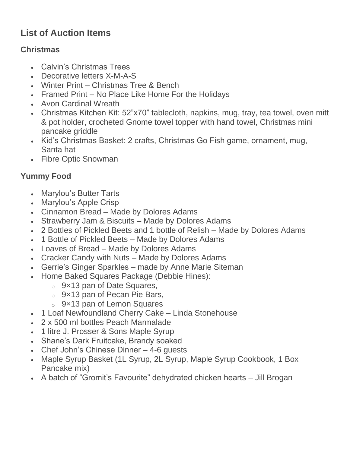# **List of Auction Items**

## **Christmas**

- Calvin's Christmas Trees
- Decorative letters X-M-A-S
- Winter Print Christmas Tree & Bench
- Framed Print No Place Like Home For the Holidays
- Avon Cardinal Wreath
- Christmas Kitchen Kit: 52"x70" tablecloth, napkins, mug, tray, tea towel, oven mitt & pot holder, crocheted Gnome towel topper with hand towel, Christmas mini pancake griddle
- Kid's Christmas Basket: 2 crafts, Christmas Go Fish game, ornament, mug, Santa hat
- Fibre Optic Snowman

## **Yummy Food**

- Marylou's Butter Tarts
- Marylou's Apple Crisp
- Cinnamon Bread Made by Dolores Adams
- Strawberry Jam & Biscuits Made by Dolores Adams
- 2 Bottles of Pickled Beets and 1 bottle of Relish Made by Dolores Adams
- 1 Bottle of Pickled Beets Made by Dolores Adams
- Loaves of Bread Made by Dolores Adams
- Cracker Candy with Nuts Made by Dolores Adams
- Gerrie's Ginger Sparkles made by Anne Marie Siteman
- Home Baked Squares Package (Debbie Hines):
	- o 9×13 pan of Date Squares,
	- o 9×13 pan of Pecan Pie Bars,
	- o 9×13 pan of Lemon Squares
- 1 Loaf Newfoundland Cherry Cake Linda Stonehouse
- 2 x 500 ml bottles Peach Marmalade
- 1 litre J. Prosser & Sons Maple Syrup
- Shane's Dark Fruitcake, Brandy soaked
- Chef John's Chinese Dinner 4-6 quests
- Maple Syrup Basket (1L Syrup, 2L Syrup, Maple Syrup Cookbook, 1 Box Pancake mix)
- A batch of "Gromit's Favourite" dehydrated chicken hearts Jill Brogan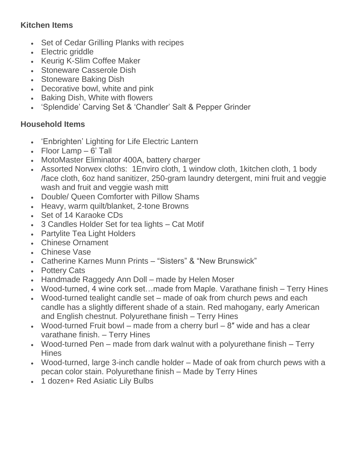### **Kitchen Items**

- Set of Cedar Grilling Planks with recipes
- Electric griddle
- Keurig K-Slim Coffee Maker
- Stoneware Casserole Dish
- Stoneware Baking Dish
- Decorative bowl, white and pink
- Baking Dish, White with flowers
- 'Splendide' Carving Set & 'Chandler' Salt & Pepper Grinder

#### **Household Items**

- 'Enbrighten' Lighting for Life Electric Lantern
- Floor Lamp  $-6'$  Tall
- MotoMaster Eliminator 400A, battery charger
- Assorted Norwex cloths: 1Enviro cloth, 1 window cloth, 1kitchen cloth, 1 body /face cloth, 6oz hand sanitizer, 250-gram laundry detergent, mini fruit and veggie wash and fruit and veggie wash mitt
- Double/ Queen Comforter with Pillow Shams
- Heavy, warm quilt/blanket, 2-tone Browns
- Set of 14 Karaoke CDs
- 3 Candles Holder Set for tea lights Cat Motif
- Partylite Tea Light Holders
- Chinese Ornament
- Chinese Vase
- Catherine Karnes Munn Prints "Sisters" & "New Brunswick"
- Pottery Cats
- Handmade Raggedy Ann Doll made by Helen Moser
- Wood-turned, 4 wine cork set...made from Maple. Varathane finish Terry Hines
- Wood-turned tealight candle set made of oak from church pews and each candle has a slightly different shade of a stain. Red mahogany, early American and English chestnut. Polyurethane finish – Terry Hines
- Wood-turned Fruit bowl made from a cherry burl  $-8$ " wide and has a clear varathane finish. – Terry Hines
- Wood-turned Pen made from dark walnut with a polyurethane finish Terry **Hines**
- Wood-turned, large 3-inch candle holder Made of oak from church pews with a pecan color stain. Polyurethane finish – Made by Terry Hines
- 1 dozen+ Red Asiatic Lily Bulbs